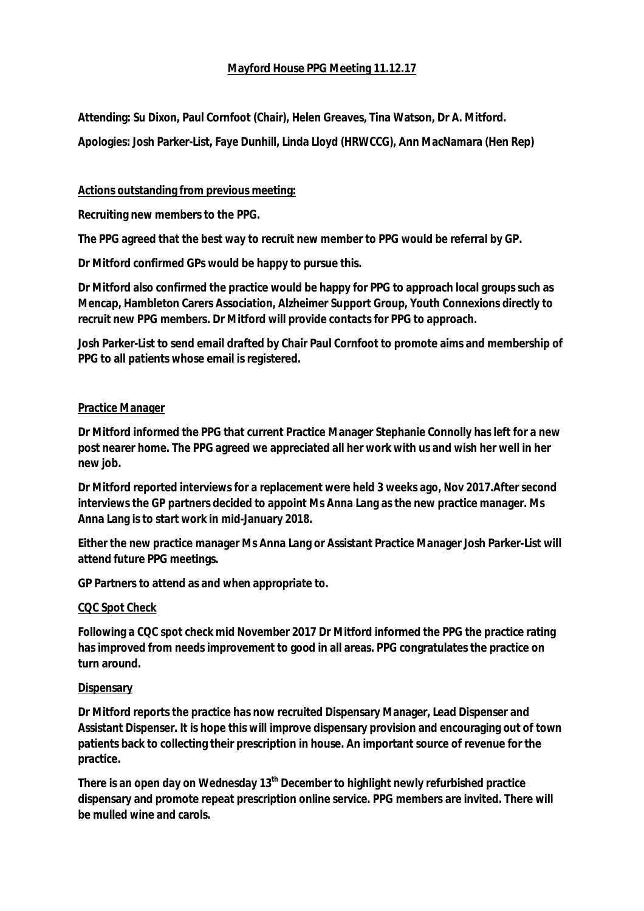# **Mayford House PPG Meeting 11.12.17**

**Attending: Su Dixon, Paul Cornfoot (Chair), Helen Greaves, Tina Watson, Dr A. Mitford.**

**Apologies: Josh Parker-List, Faye Dunhill, Linda Lloyd (HRWCCG), Ann MacNamara (Hen Rep)**

**Actions outstanding from previous meeting:** 

**Recruiting new members to the PPG.**

**The PPG agreed that the best way to recruit new member to PPG would be referral by GP.**

**Dr Mitford confirmed GPs would be happy to pursue this.**

**Dr Mitford also confirmed the practice would be happy for PPG to approach local groups such as Mencap, Hambleton Carers Association, Alzheimer Support Group, Youth Connexions directly to recruit new PPG members. Dr Mitford will provide contacts for PPG to approach.**

**Josh Parker-List to send email drafted by Chair Paul Cornfoot to promote aims and membership of PPG to all patients whose email is registered.**

## **Practice Manager**

**Dr Mitford informed the PPG that current Practice Manager Stephanie Connolly has left for a new post nearer home. The PPG agreed we appreciated all her work with us and wish her well in her new job.**

**Dr Mitford reported interviews for a replacement were held 3 weeks ago, Nov 2017.After second interviews the GP partners decided to appoint Ms Anna Lang as the new practice manager. Ms Anna Lang is to start work in mid-January 2018.**

**Either the new practice manager Ms Anna Lang or Assistant Practice Manager Josh Parker-List will attend future PPG meetings.**

**GP Partners to attend as and when appropriate to.**

## **CQC Spot Check**

**Following a CQC spot check mid November 2017 Dr Mitford informed the PPG the practice rating has improved from needs improvement to good in all areas. PPG congratulates the practice on turn around.**

## **Dispensary**

**Dr Mitford reports the practice has now recruited Dispensary Manager, Lead Dispenser and Assistant Dispenser. It is hope this will improve dispensary provision and encouraging out of town patients back to collecting their prescription in house. An important source of revenue for the practice.**

**There is an open day on Wednesday 13th December to highlight newly refurbished practice dispensary and promote repeat prescription online service. PPG members are invited. There will be mulled wine and carols.**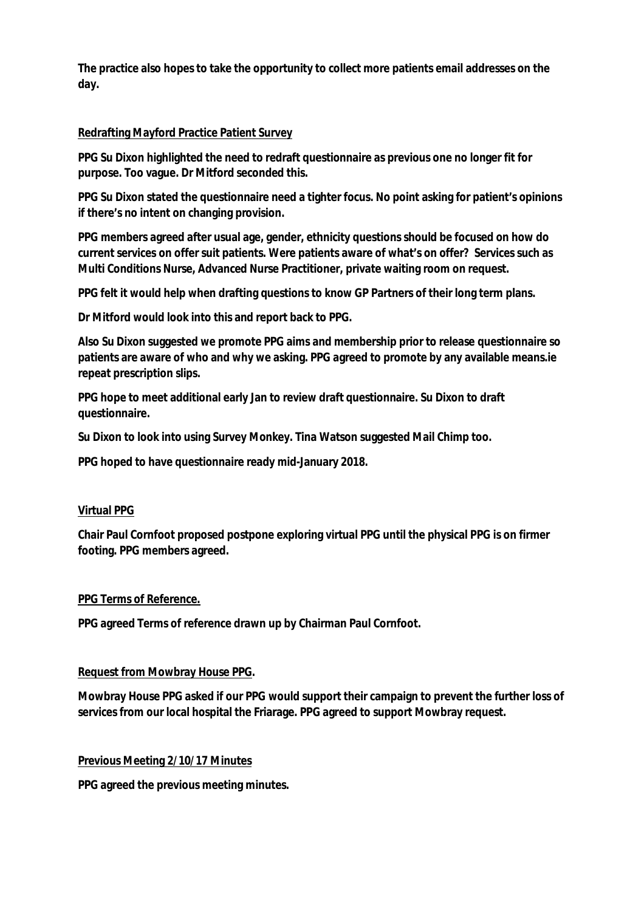**The practice also hopes to take the opportunity to collect more patients email addresses on the day.**

# **Redrafting Mayford Practice Patient Survey**

**PPG Su Dixon highlighted the need to redraft questionnaire as previous one no longer fit for purpose. Too vague. Dr Mitford seconded this.**

**PPG Su Dixon stated the questionnaire need a tighter focus. No point asking for patient's opinions if there's no intent on changing provision.**

**PPG members agreed after usual age, gender, ethnicity questions should be focused on how do current services on offer suit patients. Were patients aware of what's on offer? Services such as Multi Conditions Nurse, Advanced Nurse Practitioner, private waiting room on request.**

**PPG felt it would help when drafting questions to know GP Partners of their long term plans.**

**Dr Mitford would look into this and report back to PPG.**

**Also Su Dixon suggested we promote PPG aims and membership prior to release questionnaire so patients are aware of who and why we asking. PPG agreed to promote by any available means.ie repeat prescription slips.**

**PPG hope to meet additional early Jan to review draft questionnaire. Su Dixon to draft questionnaire.**

**Su Dixon to look into using Survey Monkey. Tina Watson suggested Mail Chimp too.**

**PPG hoped to have questionnaire ready mid-January 2018.**

## **Virtual PPG**

**Chair Paul Cornfoot proposed postpone exploring virtual PPG until the physical PPG is on firmer footing. PPG members agreed.**

## **PPG Terms of Reference.**

**PPG agreed Terms of reference drawn up by Chairman Paul Cornfoot.**

## **Request from Mowbray House PPG.**

**Mowbray House PPG asked if our PPG would support their campaign to prevent the further loss of services from our local hospital the Friarage. PPG agreed to support Mowbray request.**

## **Previous Meeting 2/10/17 Minutes**

**PPG agreed the previous meeting minutes.**